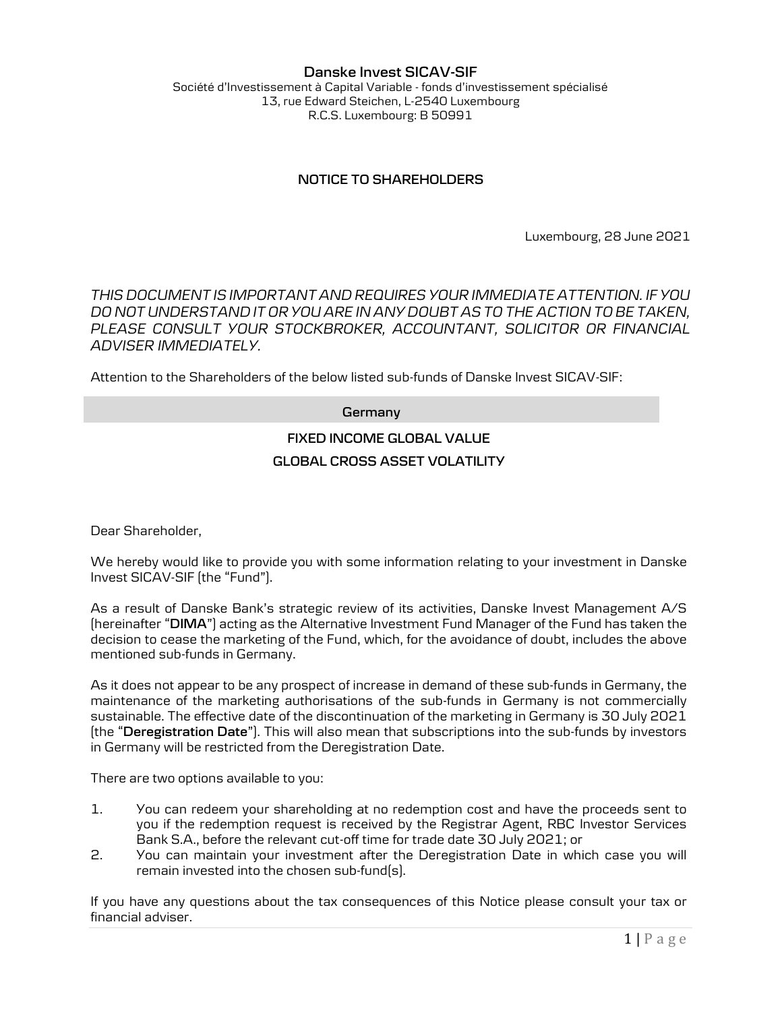#### Danske Invest SICAV-SIF Société d'Investissement à Capital Variable - fonds d'investissement spécialisé 13, rue Edward Steichen, L-2540 Luxembourg R.C.S. Luxembourg: B 50991

## NOTICE TO SHAREHOLDERS

Luxembourg, 28 June 2021

THIS DOCUMENT IS IMPORTANT AND REQUIRES YOUR IMMEDIATE ATTENTION. IF YOU DO NOT UNDERSTAND IT OR YOU ARE IN ANY DOUBT AS TO THE ACTION TO BE TAKEN, PLEASE CONSULT YOUR STOCKBROKER, ACCOUNTANT, SOLICITOR OR FINANCIAL ADVISER IMMEDIATELY.

Attention to the Shareholders of the below listed sub-funds of Danske Invest SICAV-SIF:

#### **Germany**

# FIXED INCOME GLOBAL VALUE GLOBAL CROSS ASSET VOLATILITY

Dear Shareholder,

We hereby would like to provide you with some information relating to your investment in Danske Invest SICAV-SIF (the "Fund").

As a result of Danske Bank's strategic review of its activities, Danske Invest Management A/S (hereinafter "DIMA") acting as the Alternative Investment Fund Manager of the Fund has taken the decision to cease the marketing of the Fund, which, for the avoidance of doubt, includes the above mentioned sub-funds in Germany.

As it does not appear to be any prospect of increase in demand of these sub-funds in Germany, the maintenance of the marketing authorisations of the sub-funds in Germany is not commercially sustainable. The effective date of the discontinuation of the marketing in Germany is 30 July 2021 (the "Deregistration Date"). This will also mean that subscriptions into the sub-funds by investors in Germany will be restricted from the Deregistration Date.

There are two options available to you:

- 1. You can redeem your shareholding at no redemption cost and have the proceeds sent to you if the redemption request is received by the Registrar Agent, RBC Investor Services Bank S.A., before the relevant cut-off time for trade date 30 July 2021; or
- 2. You can maintain your investment after the Deregistration Date in which case you will remain invested into the chosen sub-fund(s).

If you have any questions about the tax consequences of this Notice please consult your tax or financial adviser.